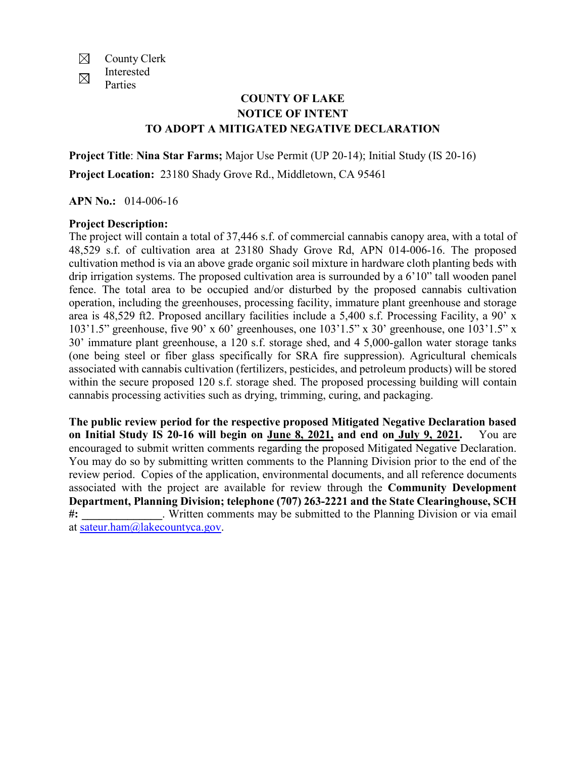- $\boxtimes$ County Clerk Interested
- $\boxtimes$ Parties

## **COUNTY OF LAKE NOTICE OF INTENT TO ADOPT A MITIGATED NEGATIVE DECLARATION**

**Project Title**: **Nina Star Farms;** Major Use Permit (UP 20-14); Initial Study (IS 20-16) **Project Location:** 23180 Shady Grove Rd., Middletown, CA 95461

**APN No.:** 014-006-16

## **Project Description:**

The project will contain a total of 37,446 s.f. of commercial cannabis canopy area, with a total of 48,529 s.f. of cultivation area at 23180 Shady Grove Rd, APN 014-006-16. The proposed cultivation method is via an above grade organic soil mixture in hardware cloth planting beds with drip irrigation systems. The proposed cultivation area is surrounded by a 6'10" tall wooden panel fence. The total area to be occupied and/or disturbed by the proposed cannabis cultivation operation, including the greenhouses, processing facility, immature plant greenhouse and storage area is 48,529 ft2. Proposed ancillary facilities include a 5,400 s.f. Processing Facility, a 90' x 103'1.5" greenhouse, five 90' x 60' greenhouses, one 103'1.5" x 30' greenhouse, one 103'1.5" x 30' immature plant greenhouse, a 120 s.f. storage shed, and 4 5,000-gallon water storage tanks (one being steel or fiber glass specifically for SRA fire suppression). Agricultural chemicals associated with cannabis cultivation (fertilizers, pesticides, and petroleum products) will be stored within the secure proposed 120 s.f. storage shed. The proposed processing building will contain cannabis processing activities such as drying, trimming, curing, and packaging.

**The public review period for the respective proposed Mitigated Negative Declaration based on Initial Study IS 20-16 will begin on June 8, 2021, and end on July 9, 2021.** You are encouraged to submit written comments regarding the proposed Mitigated Negative Declaration. You may do so by submitting written comments to the Planning Division prior to the end of the review period. Copies of the application, environmental documents, and all reference documents associated with the project are available for review through the **Community Development Department, Planning Division; telephone (707) 263-2221 and the State Clearinghouse, SCH #: \_\_\_\_\_\_\_\_\_\_\_\_\_\_**. Written comments may be submitted to the Planning Division or via email at [sateur.ham@lakecountyca.gov.](mailto:sateur.ham@lakecountyca.gov)